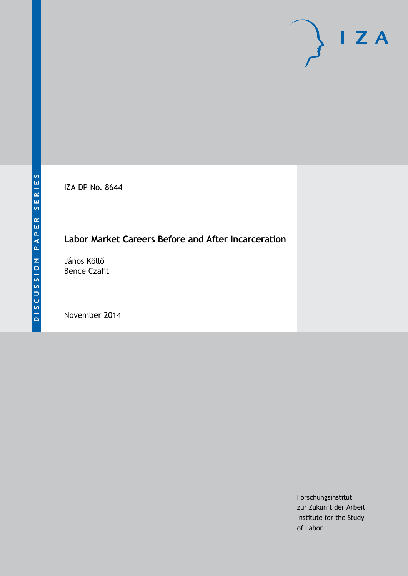IZA DP No. 8644

# **Labor Market Careers Before and After Incarceration**

János Köllő Bence Czafit

November 2014

Forschungsinstitut zur Zukunft der Arbeit Institute for the Study of Labor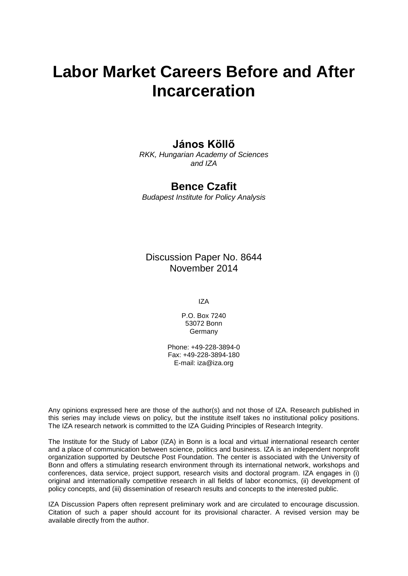# **Labor Market Careers Before and After Incarceration**

# **János Köllő**

*RKK, Hungarian Academy of Sciences and IZA*

# **Bence Czafit**

*Budapest Institute for Policy Analysis*

Discussion Paper No. 8644 November 2014

IZA

P.O. Box 7240 53072 Bonn Germany

Phone: +49-228-3894-0 Fax: +49-228-3894-180 E-mail: [iza@iza.org](mailto:iza@iza.org)

Any opinions expressed here are those of the author(s) and not those of IZA. Research published in this series may include views on policy, but the institute itself takes no institutional policy positions. The IZA research network is committed to the IZA Guiding Principles of Research Integrity.

The Institute for the Study of Labor (IZA) in Bonn is a local and virtual international research center and a place of communication between science, politics and business. IZA is an independent nonprofit organization supported by Deutsche Post Foundation. The center is associated with the University of Bonn and offers a stimulating research environment through its international network, workshops and conferences, data service, project support, research visits and doctoral program. IZA engages in (i) original and internationally competitive research in all fields of labor economics, (ii) development of policy concepts, and (iii) dissemination of research results and concepts to the interested public.

IZA Discussion Papers often represent preliminary work and are circulated to encourage discussion. Citation of such a paper should account for its provisional character. A revised version may be available directly from the author.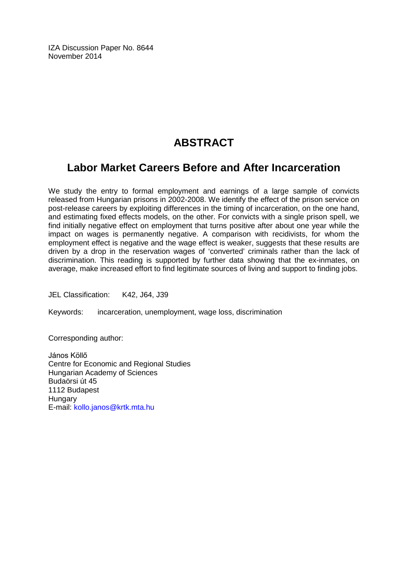IZA Discussion Paper No. 8644 November 2014

# **ABSTRACT**

# **Labor Market Careers Before and After Incarceration**

We study the entry to formal employment and earnings of a large sample of convicts released from Hungarian prisons in 2002-2008. We identify the effect of the prison service on post-release careers by exploiting differences in the timing of incarceration, on the one hand, and estimating fixed effects models, on the other. For convicts with a single prison spell, we find initially negative effect on employment that turns positive after about one year while the impact on wages is permanently negative. A comparison with recidivists, for whom the employment effect is negative and the wage effect is weaker, suggests that these results are driven by a drop in the reservation wages of 'converted' criminals rather than the lack of discrimination. This reading is supported by further data showing that the ex-inmates, on average, make increased effort to find legitimate sources of living and support to finding jobs.

JEL Classification: K42, J64, J39

Keywords: incarceration, unemployment, wage loss, discrimination

Corresponding author:

János Köllő Centre for Economic and Regional Studies Hungarian Academy of Sciences Budaörsi út 45 1112 Budapest **Hungary** E-mail: [kollo.janos@krtk.mta.hu](mailto:kollo.janos@krtk.mta.hu)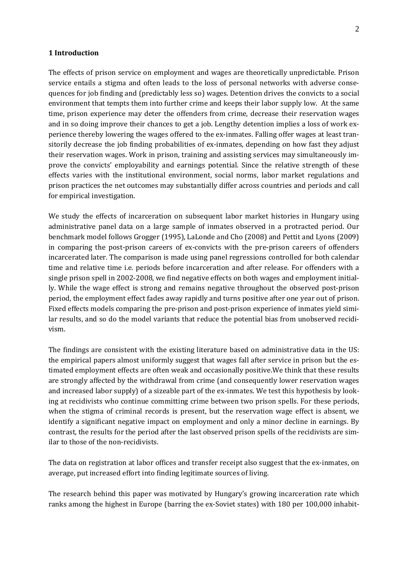#### **1 Introduction**

The effects of prison service on employment and wages are theoretically unpredictable. Prison service entails a stigma and often leads to the loss of personal networks with adverse consequences for job finding and (predictably less so) wages. Detention drives the convicts to a social environment that tempts them into further crime and keeps their labor supply low. At the same time, prison experience may deter the offenders from crime, decrease their reservation wages and in so doing improve their chances to get a job. Lengthy detention implies a loss of work experience thereby lowering the wages offered to the ex-inmates. Falling offer wages at least transitorily decrease the job finding probabilities of ex-inmates, depending on how fast they adjust their reservation wages. Work in prison, training and assisting services may simultaneously improve the convicts' employability and earnings potential. Since the relative strength of these effects varies with the institutional environment, social norms, labor market regulations and prison practices the net outcomes may substantially differ across countries and periods and call for empirical investigation.

We study the effects of incarceration on subsequent labor market histories in Hungary using administrative panel data on a large sample of inmates observed in a protracted period. Our benchmark model follows Grogger (1995), LaLonde and Cho (2008) and Pettit and Lyons (2009) in comparing the post-prison careers of ex-convicts with the pre-prison careers of offenders incarcerated later. The comparison is made using panel regressions controlled for both calendar time and relative time i.e. periods before incarceration and after release. For offenders with a single prison spell in 2002-2008, we find negative effects on both wages and employment initially. While the wage effect is strong and remains negative throughout the observed post-prison period, the employment effect fades away rapidly and turns positive after one year out of prison. Fixed effects models comparing the pre-prison and post-prison experience of inmates yield similar results, and so do the model variants that reduce the potential bias from unobserved recidivism.

The findings are consistent with the existing literature based on administrative data in the US: the empirical papers almost uniformly suggest that wages fall after service in prison but the estimated employment effects are often weak and occasionally positive.We think that these results are strongly affected by the withdrawal from crime (and consequently lower reservation wages and increased labor supply) of a sizeable part of the ex-inmates. We test this hypothesis by looking at recidivists who continue committing crime between two prison spells. For these periods, when the stigma of criminal records is present, but the reservation wage effect is absent, we identify a significant negative impact on employment and only a minor decline in earnings. By contrast, the results for the period after the last observed prison spells of the recidivists are similar to those of the non-recidivists.

The data on registration at labor offices and transfer receipt also suggest that the ex-inmates, on average, put increased effort into finding legitimate sources of living.

The research behind this paper was motivated by Hungary's growing incarceration rate which ranks among the highest in Europe (barring the ex-Soviet states) with 180 per 100,000 inhabit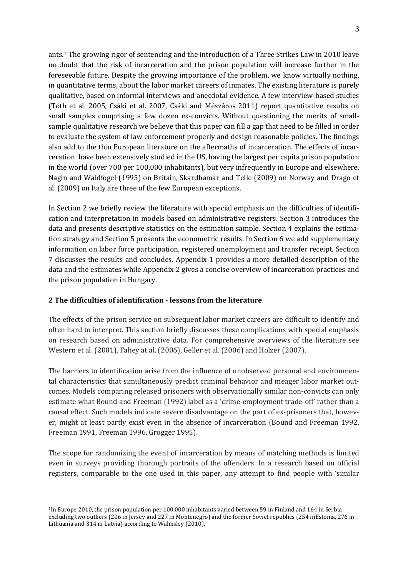ants.1 The growing rigor of sentencing and the introduction of a Three Strikes Law in 2010 leave no doubt that the risk of incarceration and the prison population will increase further in the foreseeable future. Despite the growing importance of the problem, we know virtually nothing, in quantitative terms, about the labor market careers of inmates. The existing literature is purely qualitative, based on informal interviews and anecdotal evidence. A few interview-based studies (Tóth et al. 2005, Csáki et al. 2007, Csáki and Mészáros 2011) report quantitative results on small samples comprising a few dozen ex-convicts. Without questioning the merits of smallsample qualitative research we believe that this paper can fill a gap that need to be filled in order to evaluate the system of law enforcement properly and design reasonable policies. The findings also add to the thin European literature on the aftermaths of incarceration. The effects of incarceration have been extensively studied in the US, having the largest per capita prison population in the world (over 700 per 100,000 inhabitants), but very infrequently in Europe and elsewhere. Nagin and Waldfogel (1995) on Britain, Skardhamar and Telle (2009) on Norway and Drago et al. (2009) on Italy are three of the few European exceptions.

In Section 2 we briefly review the literature with special emphasis on the difficulties of identification and interpretation in models based on administrative registers. Section 3 introduces the data and presents descriptive statistics on the estimation sample. Section 4 explains the estimation strategy and Section 5 presents the econometric results. In Section 6 we add supplementary information on labor force participation, registered unemployment and transfer receipt. Section 7 discusses the results and concludes. Appendix 1 provides a more detailed description of the data and the estimates while Appendix 2 gives a concise overview of incarceration practices and the prison population in Hungary.

### **2 The difficulties of identification - lessons from the literature**

The effects of the prison service on subsequent labor market careers are difficult to identify and often hard to interpret. This section briefly discusses these complications with special emphasis on research based on administrative data. For comprehensive overviews of the literature see Western et al. (2001), Fahey at al. (2006), Geller et al. (2006) and Holzer (2007).

The barriers to identification arise from the influence of unobserved personal and environmental characteristics that simultaneously predict criminal behavior and meager labor market outcomes. Models comparing released prisoners with observationally similar non-convicts can only estimate what Bound and Freeman (1992) label as a 'crime-employment trade-off' rather than a causal effect. Such models indicate severe disadvantage on the part of ex-prisoners that, however, might at least partly exist even in the absence of incarceration (Bound and Freeman 1992, Freeman 1991, Freeman 1996, Grogger 1995).

The scope for randomizing the event of incarceration by means of matching methods is limited even in surveys providing thorough portraits of the offenders. In a research based on official registers, comparable to the one used in this paper, any attempt to find people with 'similar

<span id="page-4-0"></span> $\overline{a}$ 1In Europe 2010, the prison population per 100,000 inhabitants varied between 59 in Finland and 164 in Serbia excluding two outliers (206 in Jersey and 227 in Montenegro) and the former Soviet republics (254 inEstonia, 276 in Lithuania and 314 in Latvia) according to Walmsley (2010).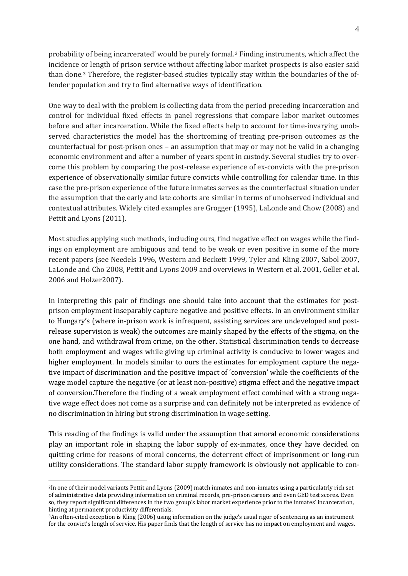probability of being incarcerated' would be purely formal.[2](#page-4-0) Finding instruments, which affect the incidence or length of prison service without affecting labor market prospects is also easier said than done[.3](#page-5-0) Therefore, the register-based studies typically stay within the boundaries of the offender population and try to find alternative ways of identification.

One way to deal with the problem is collecting data from the period preceding incarceration and control for individual fixed effects in panel regressions that compare labor market outcomes before and after incarceration. While the fixed effects help to account for time-invarying unobserved characteristics the model has the shortcoming of treating pre-prison outcomes as the counterfactual for post-prison ones – an assumption that may or may not be valid in a changing economic environment and after a number of years spent in custody. Several studies try to overcome this problem by comparing the post-release experience of ex-convicts with the pre-prison experience of observationally similar future convicts while controlling for calendar time. In this case the pre-prison experience of the future inmates serves as the counterfactual situation under the assumption that the early and late cohorts are similar in terms of unobserved individual and contextual attributes. Widely cited examples are Grogger (1995), LaLonde and Chow (2008) and Pettit and Lyons (2011).

Most studies applying such methods, including ours, find negative effect on wages while the findings on employment are ambiguous and tend to be weak or even positive in some of the more recent papers (see Needels 1996, Western and Beckett 1999, Tyler and Kling 2007, Sabol 2007, LaLonde and Cho 2008, Pettit and Lyons 2009 and overviews in Western et al. 2001, Geller et al. 2006 and Holzer2007).

In interpreting this pair of findings one should take into account that the estimates for postprison employment inseparably capture negative and positive effects. In an environment similar to Hungary's (where in-prison work is infrequent, assisting services are undeveloped and postrelease supervision is weak) the outcomes are mainly shaped by the effects of the stigma, on the one hand, and withdrawal from crime, on the other. Statistical discrimination tends to decrease both employment and wages while giving up criminal activity is conducive to lower wages and higher employment. In models similar to ours the estimates for employment capture the negative impact of discrimination and the positive impact of 'conversion' while the coefficients of the wage model capture the negative (or at least non-positive) stigma effect and the negative impact of conversion.Therefore the finding of a weak employment effect combined with a strong negative wage effect does not come as a surprise and can definitely not be interpreted as evidence of no discrimination in hiring but strong discrimination in wage setting.

This reading of the findings is valid under the assumption that amoral economic considerations play an important role in shaping the labor supply of ex-inmates, once they have decided on quitting crime for reasons of moral concerns, the deterrent effect of imprisonment or long-run utility considerations. The standard labor supply framework is obviously not applicable to con-

<span id="page-5-1"></span><sup>2</sup>In one of their model variants Pettit and Lyons (2009) match inmates and non-inmates using a particulatrly rich set of administrative data providing information on criminal records, pre-prison careers and even GED test scores. Even so, they report significant differences in the two group's labor market experience prior to the inmates' incarceration,

<span id="page-5-0"></span><sup>&</sup>lt;sup>3</sup>An often-cited exception is Kling (2006) using information on the judge's usual rigor of sentencing as an instrument for the convict's length of service. His paper finds that the length of service has no impact on employment and wages.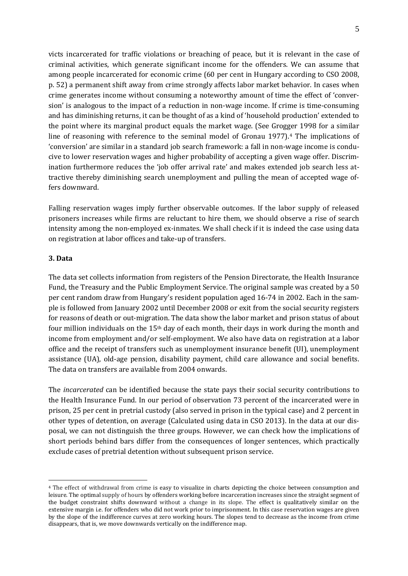victs incarcerated for traffic violations or breaching of peace, but it is relevant in the case of criminal activities, which generate significant income for the offenders. We can assume that among people incarcerated for economic crime (60 per cent in Hungary according to CSO 2008, p. 52) a permanent shift away from crime strongly affects labor market behavior. In cases when crime generates income without consuming a noteworthy amount of time the effect of 'conversion' is analogous to the impact of a reduction in non-wage income. If crime is time-consuming and has diminishing returns, it can be thought of as a kind of 'household production' extended to the point where its marginal product equals the market wage. (See Grog[ge](#page-5-1)r 1998 for a similar line of reasoning with reference to the seminal model of Gronau 1977).<sup>4</sup> The implications of 'conversion' are similar in a standard job search framework: a fall in non-wage income is conducive to lower reservation wages and higher probability of accepting a given wage offer. Discrimination furthermore reduces the 'job offer arrival rate' and makes extended job search less attractive thereby diminishing search unemployment and pulling the mean of accepted wage offers downward.

Falling reservation wages imply further observable outcomes. If the labor supply of released prisoners increases while firms are reluctant to hire them, we should observe a rise of search intensity among the non-employed ex-inmates. We shall check if it is indeed the case using data on registration at labor offices and take-up of transfers.

#### **3. Data**

 $\overline{a}$ 

The data set collects information from registers of the Pension Directorate, the Health Insurance Fund, the Treasury and the Public Employment Service. The original sample was created by a 50 per cent random draw from Hungary's resident population aged 16-74 in 2002. Each in the sample is followed from January 2002 until December 2008 or exit from the social security registers for reasons of death or out-migration. The data show the labor market and prison status of about four million individuals on the 15th day of each month, their days in work during the month and income from employment and/or self-employment. We also have data on registration at a labor office and the receipt of transfers such as unemployment insurance benefit (UI), unemployment assistance (UA), old-age pension, disability payment, child care allowance and social benefits. The data on transfers are available from 2004 onwards.

The *incarcerated* can be identified because the state pays their social security contributions to the Health Insurance Fund. In our period of observation 73 percent of the incarcerated were in prison, 25 per cent in pretrial custody (also served in prison in the typical case) and 2 percent in other types of detention, on average (Calculated using data in CSO 2013). In the data at our disposal, we can not distinguish the three groups. However, we can check how the implications of short periods behind bars differ from the consequences of longer sentences, which practically exclude cases of pretrial detention without subsequent prison service.

<span id="page-6-0"></span><sup>4</sup> The effect of withdrawal from crime is easy to visualize in charts depicting the choice between consumption and leisure. The optimal supply of hours by offenders working before incarceration increases since the straight segment of the budget constraint shifts downward without a change in its slope. The effect is qualitatively similar on the extensive margin i.e. for offenders who did not work prior to imprisonment. In this case reservation wages are given by the slope of the indifference curves at zero working hours. The slopes tend to decrease as the income from crime disappears, that is, we move downwards vertically on the indifference map.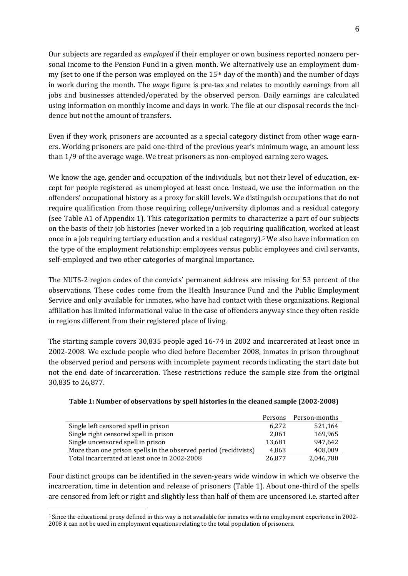Our subjects are regarded as *employed* if their employer or own business reported nonzero personal income to the Pension Fund in a given month. We alternatively use an employment dummy (set to one if the person was employed on the 15th day of the month) and the number of days in work during the month. The *wage* figure is pre-tax and relates to monthly earnings from all jobs and businesses attended/operated by the observed person. Daily earnings are calculated using information on monthly income and days in work. The file at our disposal records the incidence but not the amount of transfers.

Even if they work, prisoners are accounted as a special category distinct from other wage earners. Working prisoners are paid one-third of the previous year's minimum wage, an amount less than 1/9 of the average wage. We treat prisoners as non-employed earning zero wages.

We know the age, gender and occupation of the individuals, but not their level of education, except for people registered as unemployed at least once. Instead, we use the information on the offenders' occupational history as a proxy for skill levels. We distinguish occupations that do not require qualification from those requiring college/university diplomas and a residual category (see Table A1 of Appendix 1). This categorization permits to characterize a part of our subjects on the basis of their job histories (never worked in a job requirin[g](#page-6-0) qualification, worked at least once in a job requiring tertiary education and a residual category).5 We also have information on the type of the employment relationship: employees versus public employees and civil servants, self-employed and two other categories of marginal importance.

The NUTS-2 region codes of the convicts' permanent address are missing for 53 percent of the observations. These codes come from the Health Insurance Fund and the Public Employment Service and only available for inmates, who have had contact with these organizations. Regional affiliation has limited informational value in the case of offenders anyway since they often reside in regions different from their registered place of living.

The starting sample covers 30,835 people aged 16-74 in 2002 and incarcerated at least once in 2002-2008. We exclude people who died before December 2008, inmates in prison throughout the observed period and persons with incomplete payment records indicating the start date but not the end date of incarceration. These restrictions reduce the sample size from the original 30,835 to 26,877.

|                                                                  | Persons | Person-months |
|------------------------------------------------------------------|---------|---------------|
| Single left censored spell in prison                             | 6.272   | 521,164       |
| Single right censored spell in prison                            | 2,061   | 169,965       |
| Single uncensored spell in prison                                | 13,681  | 947.642       |
| More than one prison spells in the observed period (recidivists) | 4,863   | 408,009       |
| Total incarcerated at least once in 2002-2008                    | 26,877  | 2,046,780     |

| Table 1: Number of observations by spell histories in the cleaned sample (2002-2008) |  |
|--------------------------------------------------------------------------------------|--|
|                                                                                      |  |

<span id="page-7-0"></span>Four distinct groups can be identified in the seven-years wide window in which we observe the incarceration, time in detention and release of prisoners (Table 1). About one-third of the spells are censored from left or right and slightly less than half of them are uncensored i.e. started after

<sup>5</sup> Since the educational proxy defined in this way is not available for inmates with no employment experience in 2002- 2008 it can not be used in employment equations relating to the total population of prisoners.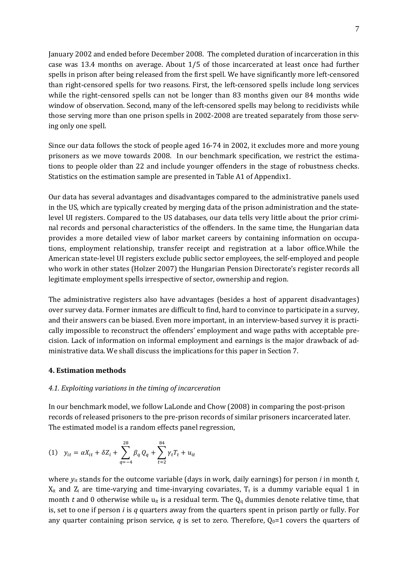January 2002 and ended before December 2008. The completed duration of incarceration in this case was 13.4 months on average. About 1/5 of those incarcerated at least once had further spells in prison after being released from the first spell. We have significantly more left-censored than right-censored spells for two reasons. First, the left-censored spells include long services while the right-censored spells can not be longer than 83 months given our 84 months wide window of observation. Second, many of the left-censored spells may belong to recidivists while those serving more than one prison spells in 2002-2008 are treated separately from those serving only one spell.

Since our data follows the stock of people aged 16-74 in 2002, it excludes more and more young prisoners as we move towards 2008. In our benchmark specification, we restrict the estimations to people older than 22 and include younger offenders in the stage of robustness checks. Statistics on the estimation sample are presented in Table A1 of Appendix1.

Our data has several advantages and disadvantages compared to the administrative panels used in the US, which are typically created by merging data of the prison administration and the statelevel UI registers. Compared to the US databases, our data tells very little about the prior criminal records and personal characteristics of the offenders. In the same time, the Hungarian data provides a more detailed view of labor market careers by containing information on occupations, employment relationship, transfer receipt and registration at a labor office.While the American state-level UI registers exclude public sector employees, the self-employed and people who work in other states (Holzer 2007) the Hungarian Pension Directorate's register records all legitimate employment spells irrespective of sector, ownership and region.

The administrative registers also have advantages (besides a host of apparent disadvantages) over survey data. Former inmates are difficult to find, hard to convince to participate in a survey, and their answers can be biased. Even more important, in an interview-based survey it is practically impossible to reconstruct the offenders' employment and wage paths with acceptable precision. Lack of information on informal employment and earnings is the major drawback of administrative data. We shall discuss the implications for this paper in Section 7.

#### **4. Estimation methods**

#### *4.1. Exploiting variations in the timing of incarceration*

In our benchmark model, we follow LaLonde and Chow (2008) in comparing the post-prison records of released prisoners to the pre-prison records of similar prisoners incarcerated later. The estimated model is a random effects panel regression,

(1) 
$$
y_{it} = \alpha X_{it} + \delta Z_i + \sum_{q=-4}^{28} \beta_q Q_q + \sum_{t=2}^{84} \gamma_t T_t + u_{it}
$$

where *yit* stands for the outcome variable (days in work, daily earnings) for person *i* in month *t*,  $X_{it}$  and  $Z_i$  are time-varying and time-invarying covariates,  $T_t$  is a dummy variable equal 1 in month *t* and 0 otherwise while  $u_{it}$  is a residual term. The  $Q_q$  dummies denote relative time, that is, set to one if person *i* is *q* quarters away from the quarters spent in prison partly or fully. For any quarter containing prison service, *q* is set to zero. Therefore,  $Q_0=1$  covers the quarters of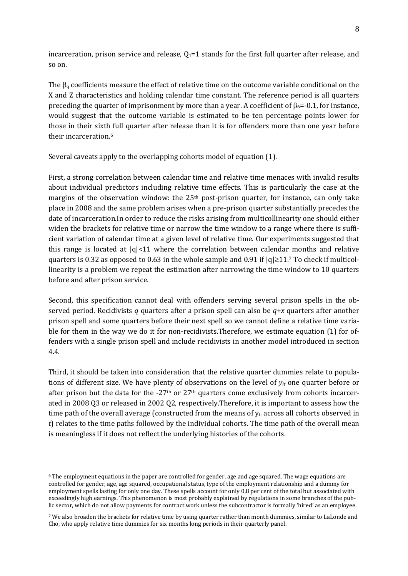incarceration, prison service and release,  $Q_1 = 1$  stands for the first full quarter after release, and so on.

The  $\beta_q$  coefficients measure the effect of relative time on the outcome variable conditional on the X and Z characteristics and holding calendar time constant. The reference period is all quarters preceding the quarter of imprisonment by more than a year. A coefficient of  $\beta_6$ =-0.1, for instance, would suggest that the outcome variable is estimated to be ten percentage points lower for those in their sixth full quarter after release than it is for offenders more than one year before their incarceration.[6](#page-7-0)

Several caveats apply to the overlapping cohorts model of equation (1).

First, a strong correlation between calendar time and relative time menaces with invalid results about individual predictors including relative time effects. This is particularly the case at the margins of the observation window: the 25<sup>th</sup> post-prison quarter, for instance, can only take place in 2008 and the same problem arises when a pre-prison quarter substantially precedes the date of incarceration.In order to reduce the risks arising from multicollinearity one should either widen the brackets for relative time or narrow the time window to a range where there is sufficient variation of calendar time at a given level of relative time. Our experiments suggested that thisrange is located at  $|q|<11$  where the correlation between calendar months and relative quarters is 0.32 as opposed to 0.63 in the whole sample and 0.91 if  $|q| \ge 11$ .7 To check if multicollinearity is a problem we repeat the estimation after narrowing the time window to 10 quarters before and after prison service.

Second, this specification cannot deal with offenders serving several prison spells in the observed period. Recidivists *q* quarters after a prison spell can also be *q*+*x* quarters after another prison spell and some quarters before their next spell so we cannot define a relative time variable for them in the way we do it for non-recidivists.Therefore, we estimate equation (1) for offenders with a single prison spell and include recidivists in another model introduced in section 4.4.

Third, it should be taken into consideration that the relative quarter dummies relate to populations of different size. We have plenty of observations on the level of *yit* one quarter before or after prison but the data for the  $-27<sup>th</sup>$  or  $27<sup>th</sup>$  quarters come exclusively from cohorts incarcerated in 2008 Q3 or released in 2002 Q2, respectively.Therefore, it is important to assess how the time path of the overall average (constructed from the means of  $y_{it}$  across all cohorts observed in *t*) relates to the time paths followed by the individual cohorts. The time path of the overall mean is meaningless if it does not reflect the underlying histories of the cohorts.

 $\overline{a}$ <sup>6</sup> The employment equations in the paper are controlled for gender, age and age squared. The wage equations are controlled for gender, age, age squared, occupational status, type of the employment relationship and a dummy for employment spells lasting for only one day. These spells account for only 0.8 per cent of the total but associated with exceedingly high earnings. This phenomenon is most probably explained by regulations in some branches of the public sector, which do not allow payments for contract work unless the subcontractor is formally 'hired' as an employee.

<span id="page-9-0"></span><sup>7</sup> We also broaden the brackets for relative time by using quarter rather than month dummies, similar to LaLonde and Cho, who apply relative time dummies for six months long periods in their quarterly panel.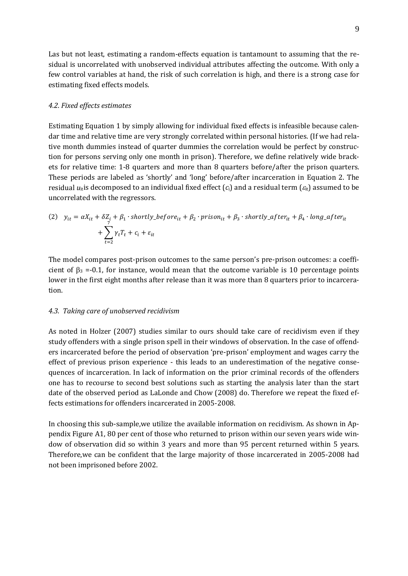Las but not least, estimating a random-effects equation is tantamount to assuming that the residual is uncorrelated with unobserved individual attributes affecting the outcome. With only a few control variables at hand, the risk of such correlation is high, and there is a strong case for estimating fixed effects models.

#### *4.2. Fixed effects estimates*

Estimating Equation 1 by simply allowing for individual fixed effects is infeasible because calendar time and relative time are very strongly correlated within personal histories. (If we had relative month dummies instead of quarter dummies the correlation would be perfect by construction for persons serving only one month in prison). Therefore, we define relatively wide brackets for relative time: 1-8 quarters and more than 8 quarters before/after the prison quarters. These periods are labeled as 'shortly' and 'long' before/after incarceration in Equation 2. The residual  $u_{it}$  is decomposed to an individual fixed effect  $(c_i)$  and a residual term  $(c_i)$  assumed to be uncorrelated with the regressors.

(2) 
$$
y_{it} = \alpha X_{it} + \delta Z_i + \beta_1 \cdot \text{shortly\_before}_{it} + \beta_2 \cdot \text{prison}_{it} + \beta_3 \cdot \text{shortly\_after}_{it} + \beta_4 \cdot \text{long\_after}_{it} + \sum_{t=2}^{7} \gamma_t T_t + c_i + \varepsilon_{it}
$$

The model compares post-prison outcomes to the same person's pre-prison outcomes: a coefficient of  $\beta_3 = -0.1$ , for instance, would mean that the outcome variable is 10 percentage points lower in the first eight months after release than it was more than 8 quarters prior to incarceration.

#### *4.3. Taking care of unobserved recidivism*

As noted in Holzer (2007) studies similar to ours should take care of recidivism even if they study offenders with a single prison spell in their windows of observation. In the case of offenders incarcerated before the period of observation 'pre-prison' employment and wages carry the effect of previous prison experience - this leads to an underestimation of the negative consequences of incarceration. In lack of information on the prior criminal records of the offenders one has to recourse to second best solutions such as starting the analysis later than the start date of the observed period as LaLonde and Chow (2008) do. Therefore we repeat the fixed effects estimations for offenders incarcerated in 2005-2008.

In choosing this sub-sample,we utilize the available information on recidivism. As shown in Appendix Figure A1, 80 per cent of those who returned to prison within our seven years wide window of observation did so within 3 years and more than 95 percent returned within 5 years. Therefore,we can be confident that the large majority of those incarcerated in 2005-2008 had not been imprisoned before 2002.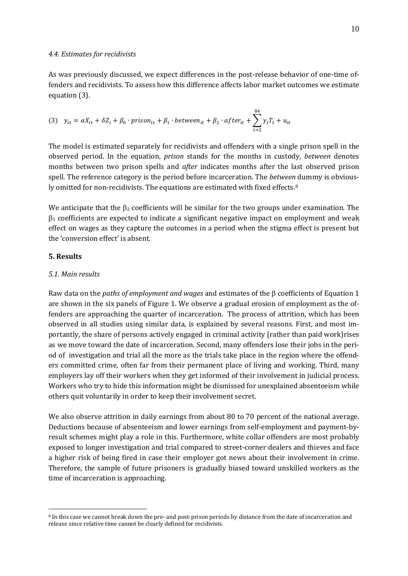As was previously discussed, we expect differences in the post-release behavior of one-time offenders and recidivists. To assess how this difference affects labor market outcomes we estimate equation (3).

(3) 
$$
y_{it} = \alpha X_{it} + \delta Z_i + \beta_0 \cdot \text{prison}_{it} + \beta_1 \cdot \text{between}_{it} + \beta_2 \cdot \text{after}_{it} + \sum_{t=2}^{84} \gamma_t T_t + u_{it}
$$

The model is estimated separately for recidivists and offenders with a single prison spell in the observed period. In the equation, *prison* stands for the months in custody, *between* denotes months between two prison spells and *after* indicates months after the last observed prison spell. The reference category is the period before incarceration. The *between* dummy is obvious-ly omitted for non-recidivists. The equations are estimated with fixed effects.<sup>[8](#page-9-0)</sup>

We anticipate that the  $\beta_2$  coefficients will be similar for the two groups under examination. The  $\beta_1$  coefficients are expected to indicate a significant negative impact on employment and weak effect on wages as they capture the outcomes in a period when the stigma effect is present but the 'conversion effect' is absent.

#### **5. Results**

 $\overline{a}$ 

#### *5.1. Main results*

Raw data on the *paths of employment and wages* and estimates of the β coefficients of Equation 1 are shown in the six panels of Figure 1. We observe a gradual erosion of employment as the offenders are approaching the quarter of incarceration. The process of attrition, which has been observed in all studies using similar data, is explained by several reasons. First, and most importantly, the share of persons actively engaged in criminal activity (rather than paid work)rises as we move toward the date of incarceration. Second, many offenders lose their jobs in the period of investigation and trial all the more as the trials take place in the region where the offenders committed crime, often far from their permanent place of living and working. Third, many employers lay off their workers when they get informed of their involvement in judicial process. Workers who try to hide this information might be dismissed for unexplained absenteeism while others quit voluntarily in order to keep their involvement secret.

We also observe attrition in daily earnings from about 80 to 70 percent of the national average. Deductions because of absenteeism and lower earnings from self-employment and payment-byresult schemes might play a role in this. Furthermore, white collar offenders are most probably exposed to longer investigation and trial compared to street-corner dealers and thieves and face a higher risk of being fired in case their employer got news about their involvement in crime. Therefore, the sample of future prisoners is gradually biased toward unskilled workers as the time of incarceration is approaching.

<span id="page-11-0"></span><sup>8</sup> In this case we cannot break down the pre- and post-prison periods by distance from the date of incarceration and release since relative time cannot be clearly defined for recidivists.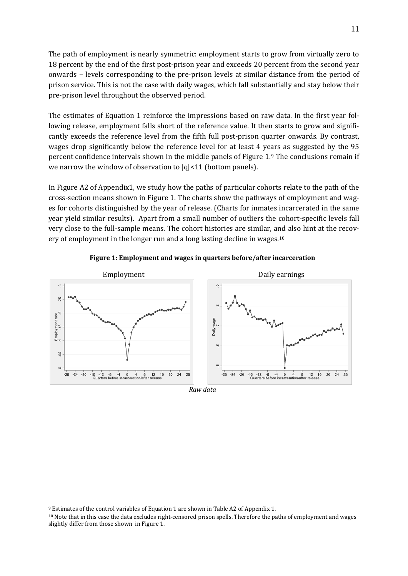The path of employment is nearly symmetric: employment starts to grow from virtually zero to 18 percent by the end of the first post-prison year and exceeds 20 percent from the second year onwards – levels corresponding to the pre-prison levels at similar distance from the period of prison service. This is not the case with daily wages, which fall substantially and stay below their pre-prison level throughout the observed period.

The estimates of Equation 1 reinforce the impressions based on raw data. In the first year following release, employment falls short of the reference value. It then starts to grow and significantly exceeds the reference level from the fifth full post-prison quarter onwards. By contrast, wages drop significantly below the reference level for at least 4 ye[a](#page-11-0)rs as suggested by the 95 percent confidence intervals shown in the middle panels of Figure 1.9 The conclusions remain if we narrow the window of observation to  $|q|$ <11 (bottom panels).

In Figure A2 of Appendix1, we study how the paths of particular cohorts relate to the path of the cross-section means shown in Figure 1. The charts show the pathways of employment and wages for cohorts distinguished by the year of release. (Charts for inmates incarcerated in the same year yield similar results). Apart from a small number of outliers the cohort-specific levels fall very close to the full-sample means. The cohort histories are similar, and also hint at the recov-ery of employment in the longer run and a long lasting decline in wages.<sup>[10](#page-12-0)</sup>



**Figure 1: Employment and wages in quarters before/after incarceration**

<span id="page-12-1"></span><sup>9</sup> Estimates of the control variables of Equation 1 are shown in Table A2 of Appendix 1.

<span id="page-12-0"></span><sup>10</sup> Note that in this case the data excludes right-censored prison spells. Therefore the paths of employment and wages slightly differ from those shown in Figure 1.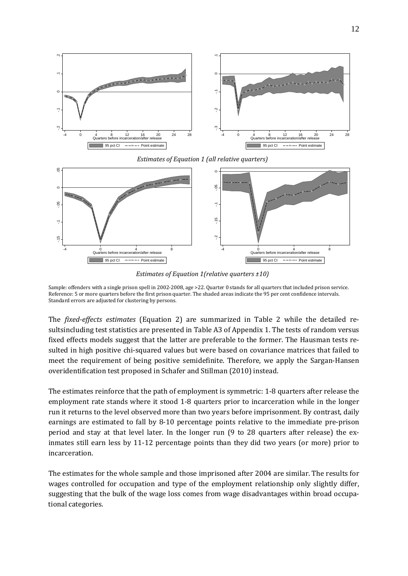

*Estimates of Equation 1 (all relative quarters)*



*Estimates of Equation 1(relative quarters ±10)*

Sample: offenders with a single prison spell in 2002-2008, age >22. Quarter 0 stands for all quarters that included prison service. Reference: 5 or more quarters before the first prison quarter. The shaded areas indicate the 95 per cent confidence intervals. Standard errors are adjusted for clustering by persons.

The *fixed-effects estimates* (Equation 2) are summarized in Table 2 while the detailed resultsincluding test statistics are presented in Table A3 of Appendix 1. The tests of random versus fixed effects models suggest that the latter are preferable to the former. The Hausman tests resulted in high positive chi-squared values but were based on covariance matrices that failed to meet the requirement of being positive semidefinite. Therefore, we apply the Sargan-Hansen overidentification test proposed in Schafer and Stillman (2010) instead.

The estimates reinforce that the path of employment is symmetric: 1-8 quarters after release the employment rate stands where it stood 1-8 quarters prior to incarceration while in the longer run it returns to the level observed more than two years before imprisonment. By contrast, daily earnings are estimated to fall by 8-10 percentage points relative to the immediate pre-prison period and stay at that level later. In the longer run (9 to 28 quarters after release) the exinmates still earn less by 11-12 percentage points than they did two years (or more) prior to incarceration.

The estimates for the whole sample and those imprisoned after 2004 are similar. The results for wages controlled for occupation and type of the employment relationship only slightly differ, suggesting that the bulk of the wage loss comes from wage disadvantages within broad occupational categories.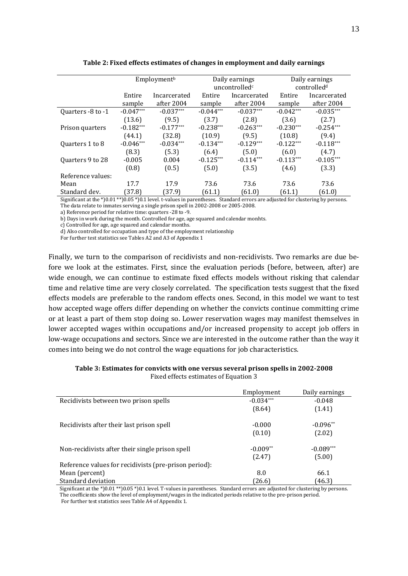|                   |             | Employment <sup>b</sup> | Daily earnings |                           | Daily earnings |                         |
|-------------------|-------------|-------------------------|----------------|---------------------------|----------------|-------------------------|
|                   |             |                         |                | uncontrolled <sup>c</sup> |                | controlled <sup>d</sup> |
|                   | Entire      | Incarcerated            | Entire         | Incarcerated              | Entire         | Incarcerated            |
|                   | sample      | after 2004              | sample         | after 2004                | sample         | after 2004              |
| Quarters -8 to -1 | $-0.047***$ | $-0.037***$             | $-0.044***$    | $-0.037***$               | $-0.042***$    | $-0.035***$             |
|                   | (13.6)      | (9.5)                   | (3.7)          | (2.8)                     | (3.6)          | (2.7)                   |
| Prison quarters   | $-0.182***$ | $-0.177***$             | $-0.238***$    | $-0.263***$               | $-0.230***$    | $-0.254***$             |
|                   | (44.1)      | (32.8)                  | (10.9)         | (9.5)                     | (10.8)         | (9.4)                   |
| Quarters 1 to 8   | $-0.046***$ | $-0.034***$             | $-0.134***$    | $-0.129***$               | $-0.122***$    | $-0.118***$             |
|                   | (8.3)       | (5.3)                   | (6.4)          | (5.0)                     | (6.0)          | (4.7)                   |
| Quarters 9 to 28  | $-0.005$    | 0.004                   | $-0.125***$    | $-0.114***$               | $-0.113***$    | $-0.105***$             |
|                   | (0.8)       | (0.5)                   | (5.0)          | (3.5)                     | (4.6)          | (3.3)                   |
| Reference values: |             |                         |                |                           |                |                         |
| Mean              | 17.7        | 17.9                    | 73.6           | 73.6                      | 73.6           | 73.6                    |
| Standard dev.     | (37.8)      | (37.9)                  | (61.1)         | (61.0)                    | (61.1)         | (61.0)                  |

**Table 2: Fixed effects estimates of changes in employment and daily earnings**

Significant at the \*)0.01 \*\*)0.05 \*)0.1 level. t-values in parentheses. Standard errors are adjusted for clustering by persons. The data relate to inmates serving a single prison spell in 2002-2008 or 2005-2008.

a) Reference period for relative time: quarters -28 to -9.

b) Days in work during the month. Controlled for age, age squared and calendar monhts.

c) Controlled for age, age squared and calendar months.

d) Also controlled for occupation and type of the employment relationship

For further test statistics see Tables A2 and A3 of Appendix 1

Finally, we turn to the comparison of recidivists and non-recidivists. Two remarks are due before we look at the estimates. First, since the evaluation periods (before, between, after) are wide enough, we can continue to estimate fixed effects models without risking that calendar time and relative time are very closely correlated. The specification tests suggest that the fixed effects models are preferable to the random effects ones. Second, in this model we want to test how accepted wage offers differ depending on whether the convicts continue committing crime or at least a part of them stop doing so. Lower reservation wages may manifest themselves in lower accepted wages within occupations and/or increased propensity to accept job offers in low-wage occupations and sectors. Since we are interested in the outcome rather than the way it comes into being we do not control the wage equations for job characteristics.

| Table 3: Estimates for convicts with one versus several prison spells in 2002-2008 |  |
|------------------------------------------------------------------------------------|--|
| Fixed effects estimates of Equation 3                                              |  |

|                                                       | Employment  | Daily earnings |
|-------------------------------------------------------|-------------|----------------|
| Recidivists between two prison spells                 | $-0.034***$ | $-0.048$       |
|                                                       | (8.64)      | (1.41)         |
| Recidivists after their last prison spell             | $-0.000$    | $-0.096**$     |
|                                                       | (0.10)      | (2.02)         |
| Non-recidivists after their single prison spell       | $-0.009**$  | $-0.089***$    |
|                                                       | (2.47)      | (5.00)         |
| Reference values for recidivists (pre-prison period): |             |                |
| Mean (percent)                                        | 8.0         | 66.1           |
| Standard deviation                                    | (26.6)      | (46.3)         |

Significant at the \*)0.01 \*\*)0.05 \*)0.1 level. T-values in parentheses. Standard errors are adjusted for clustering by persons. The coefficients show the level of employment/wages in the indicated periods relative to the pre-prison period. For further test statistics sees Table A4 of Appendix 1.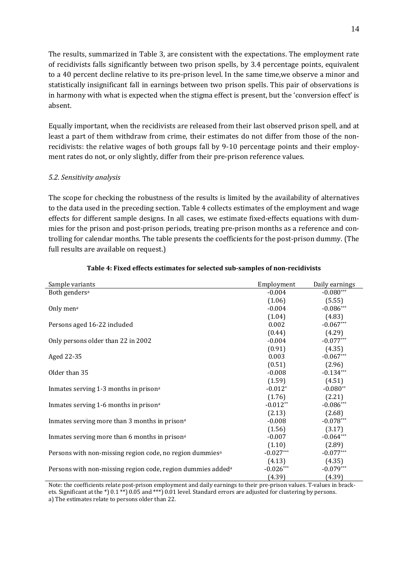The results, summarized in Table 3, are consistent with the expectations. The employment rate of recidivists falls significantly between two prison spells, by 3.4 percentage points, equivalent to a 40 percent decline relative to its pre-prison level. In the same time,we observe a minor and statistically insignificant fall in earnings between two prison spells. This pair of observations is in harmony with what is expected when the stigma effect is present, but the 'conversion effect' is absent.

Equally important, when the recidivists are released from their last observed prison spell, and at least a part of them withdraw from crime, their estimates do not differ from those of the nonrecidivists: the relative wages of both groups fall by 9-10 percentage points and their employment rates do not, or only slightly, differ from their pre-prison reference values.

#### *5.2. Sensitivity analysis*

The scope for checking the robustness of the results is limited by the availability of alternatives to the data used in the preceding section. Table 4 collects estimates of the employment and wage effects for different sample designs. In all cases, we estimate fixed-effects equations with dummies for the prison and post-prison periods, treating pre-prison months as a reference and controlling for calendar months. The table presents the coefficients for the post-prison dummy. (The full results are available on request.)

| Sample variants                                                         | Employment  | Daily earnings |
|-------------------------------------------------------------------------|-------------|----------------|
| Both genders <sup>a</sup>                                               | $-0.004$    | $-0.080***$    |
|                                                                         | (1.06)      | (5.55)         |
| Only men <sup>a</sup>                                                   | $-0.004$    | $-0.086***$    |
|                                                                         | (1.04)      | (4.83)         |
| Persons aged 16-22 included                                             | 0.002       | $-0.067***$    |
|                                                                         | (0.44)      | (4.29)         |
| Only persons older than 22 in 2002                                      | $-0.004$    | $-0.077***$    |
|                                                                         | (0.91)      | (4.35)         |
| Aged 22-35                                                              | 0.003       | $-0.067***$    |
|                                                                         | (0.51)      | (2.96)         |
| Older than 35                                                           | $-0.008$    | $-0.134***$    |
|                                                                         | (1.59)      | (4.51)         |
| Inmates serving 1-3 months in prison <sup>a</sup>                       | $-0.012*$   | $-0.080**$     |
|                                                                         | (1.76)      | (2.21)         |
| Inmates serving 1-6 months in prison <sup>a</sup>                       | $-0.012**$  | $-0.086***$    |
|                                                                         | (2.13)      | (2.68)         |
| Inmates serving more than 3 months in prison <sup>a</sup>               | $-0.008$    | $-0.078***$    |
|                                                                         | (1.56)      | (3.17)         |
| Inmates serving more than 6 months in prison <sup>a</sup>               | $-0.007$    | $-0.064***$    |
|                                                                         | (1.10)      | (2.89)         |
| Persons with non-missing region code, no region dummies <sup>a</sup>    | $-0.027***$ | $-0.077***$    |
|                                                                         | (4.13)      | (4.35)         |
| Persons with non-missing region code, region dummies added <sup>a</sup> | $-0.026***$ | $-0.079***$    |
|                                                                         | (4.39)      | (4.39)         |

#### **Table 4: Fixed effects estimates for selected sub-samples of non-recidivists**

Note: the coefficients relate post-prison employment and daily earnings to their pre-prison values. T-values in brackets. Significant at the \*) 0.1 \*\*) 0.05 and \*\*\*) 0.01 level. Standard errors are adjusted for clustering by persons. a) The estimates relate to persons older than 22.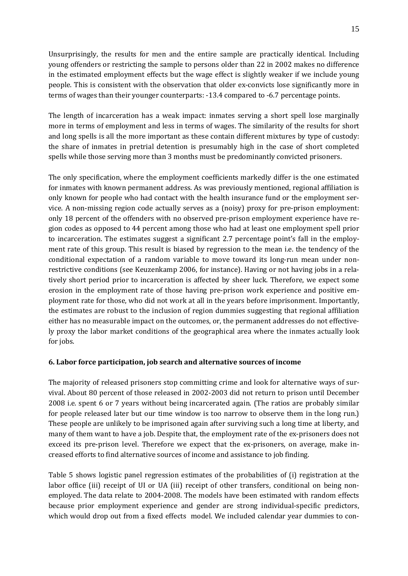Unsurprisingly, the results for men and the entire sample are practically identical. Including young offenders or restricting the sample to persons older than 22 in 2002 makes no difference in the estimated employment effects but the wage effect is slightly weaker if we include young people. This is consistent with the observation that older ex-convicts lose significantly more in terms of wages than their younger counterparts: -13.4 compared to -6.7 percentage points.

The length of incarceration has a weak impact: inmates serving a short spell lose marginally more in terms of employment and less in terms of wages. The similarity of the results for short and long spells is all the more important as these contain different mixtures by type of custody: the share of inmates in pretrial detention is presumably high in the case of short completed spells while those serving more than 3 months must be predominantly convicted prisoners.

The only specification, where the employment coefficients markedly differ is the one estimated for inmates with known permanent address. As was previously mentioned, regional affiliation is only known for people who had contact with the health insurance fund or the employment service. A non-missing region code actually serves as a (noisy) proxy for pre-prison employment: only 18 percent of the offenders with no observed pre-prison employment experience have region codes as opposed to 44 percent among those who had at least one employment spell prior to incarceration. The estimates suggest a significant 2.7 percentage point's fall in the employment rate of this group. This result is biased by regression to the mean i.e. the tendency of the conditional expectation of a random variable to move toward its long-run mean under nonrestrictive conditions (see Keuzenkamp 2006, for instance). Having or not having jobs in a relatively short period prior to incarceration is affected by sheer luck. Therefore, we expect some erosion in the employment rate of those having pre-prison work experience and positive employment rate for those, who did not work at all in the years before imprisonment. Importantly, the estimates are robust to the inclusion of region dummies suggesting that regional affiliation either has no measurable impact on the outcomes, or, the permanent addresses do not effectively proxy the labor market conditions of the geographical area where the inmates actually look for jobs.

### **6. Labor force participation, job search and alternative sources of income**

The majority of released prisoners stop committing crime and look for alternative ways of survival. About 80 percent of those released in 2002-2003 did not return to prison until December 2008 i.e. spent 6 or 7 years without being incarcerated again. (The ratios are probably similar for people released later but our time window is too narrow to observe them in the long run.) These people are unlikely to be imprisoned again after surviving such a long time at liberty, and many of them want to have a job. Despite that, the employment rate of the ex-prisoners does not exceed its pre-prison level. Therefore we expect that the ex-prisoners, on average, make increased efforts to find alternative sources of income and assistance to job finding.

Table 5 shows logistic panel regression estimates of the probabilities of (i) registration at the labor office (iii) receipt of UI or UA (iii) receipt of other transfers, conditional on being nonemployed. The data relate to 2004-2008. The models have been estimated with random effects because prior employment experience and gender are strong individual-specific predictors, which would drop out from a fixed effects model. We included calendar year dummies to con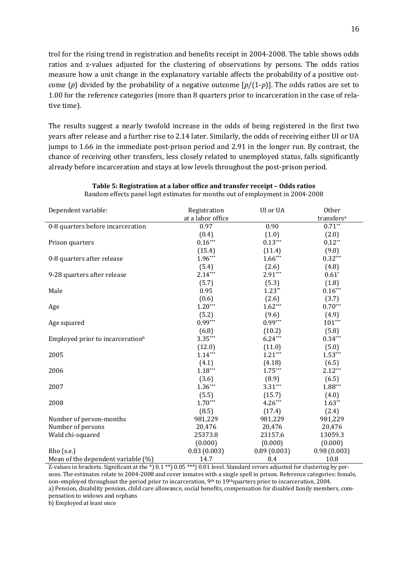trol for the rising trend in registration and benefits receipt in 2004-2008. The table shows odds ratios and z-values adjusted for the clustering of observations by persons. The odds ratios measure how a unit change in the explanatory variable affects the probability of a positive outcome (*p*) divided by the probability of a negative outcome [*p*/(1-*p*)]. The odds ratios are set to 1.00 for the reference categories (more than 8 quarters prior to incarceration in the case of relative time).

The results suggest a nearly twofold increase in the odds of being registered in the first two years after release and a further rise to 2.14 later. Similarly, the odds of receiving either UI or UA jumps to 1.66 in the immediate post-prison period and 2.91 in the longer run. By contrast, the chance of receiving other transfers, less closely related to unemployed status, falls significantly already before incarceration and stays at low levels throughout the post-prison period.

| Dependent variable:                          | UI or UA<br>Registration |             | Other                  |
|----------------------------------------------|--------------------------|-------------|------------------------|
|                                              | at a labor office        |             | transfers <sup>a</sup> |
| 0-8 quarters before incarceration            | 0.97                     | 0.90        | $0.71**$               |
|                                              | (0.4)                    | (1.0)       | (2.0)                  |
| Prison quarters                              | $0.16***$                | $0.13***$   | $0.12**$               |
|                                              | (15.4)                   | (11.4)      | (9.8)                  |
| 0-8 quarters after release                   | $1.96***$                | $1.66***$   | $0.32***$              |
|                                              | (5.4)                    | (2.6)       | (4.8)                  |
| 9-28 quarters after release                  | $2.14***$                | $2.91***$   | $0.61*$                |
|                                              | (5.7)                    | (5.3)       | (1.8)                  |
| Male                                         | 0.95                     | $1.23**$    | $0.16***$              |
|                                              | (0.6)                    | (2.6)       | (3.7)                  |
| Age                                          | $1.20***$                | $1.62***$   | $0.70***$              |
|                                              | (5.2)                    | (9.6)       | (4.9)                  |
| Age squared                                  | $0.99***$                | $0.99***$   | $101***$               |
|                                              | (6.8)                    | (10.2)      | (5.8)                  |
| Employed prior to incarceration <sup>b</sup> | $3.35***$                | $6.24***$   | $0.34***$              |
|                                              | (12.0)                   | (11.0)      | (5.0)                  |
| 2005                                         | $1.14***$                | $1.21***$   | $1.53***$              |
|                                              | (4.1)                    | (4.18)      | (6.5)                  |
| 2006                                         | $1.18***$                | $1.75***$   | $2.12***$              |
|                                              | (3.6)                    | (8.9)       | (6.5)                  |
| 2007                                         | $1.36***$                | $3.31***$   | $1.88***$              |
|                                              | (5.5)                    | (15.7)      | (4.0)                  |
| 2008                                         | $1.70***$                | $4.26***$   | $1.63**$               |
|                                              | (8.5)                    | (17.4)      | (2.4)                  |
| Number of person-months                      | 981,229                  | 981,229     | 981,229                |
| Number of persons                            | 20,476                   | 20,476      | 20,476                 |
| Wald chi-squared                             | 25373.8                  | 23157.6     | 13059.3                |
|                                              | (0.000)                  | (0.000)     | (0.000)                |
| $Rho$ (s.e.)                                 | 0.83(0.003)              | 0.89(0.003) | 0.98(0.003)            |
| Mean of the dependent variable (%)           | 14.7                     | 8.4         | 10.8                   |

**Table 5: Registration at a labor office and transfer receipt – Odds ratios** Random effects panel logit estimates for months out of employment in 2004-2008

Z-values in brackets. Significant at the \*) 0.1 \*\*) 0.05 \*\*\*) 0.01 level. Standard errors adjusted for clustering by persons. The estimates relate to 2004-2008 and cover inmates with a single spell in prison. Reference categories: female, non-employed throughout the period prior to incarceration, 9th to 19thquarters prior to incarceration, 2004. a) Pension, disability pension, child care allowance, social benefits, compensation for disabled family members, compensation to widows and orphans

b) Employed at least once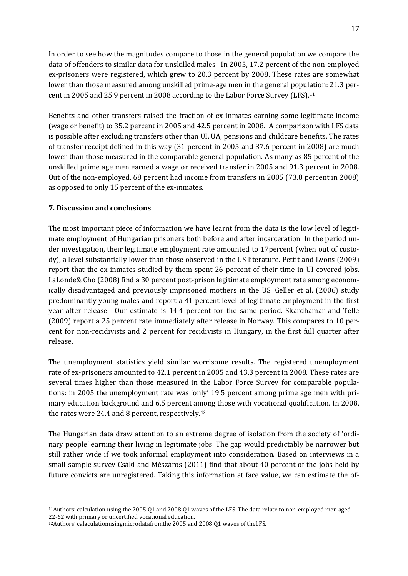In order to see how the magnitudes compare to those in the general population we compare the data of offenders to similar data for unskilled males. In 2005, 17.2 percent of the non-employed ex-prisoners were registered, which grew to 20.3 percent by 2008. These rates are somewhat lower than those measured among unskilled prime-age men in the general population: 21.3 percent in 2005 and 25.9 percent in 2008 according to the Labor Force Survey (LFS).[11](#page-12-1)

Benefits and other transfers raised the fraction of ex-inmates earning some legitimate income (wage or benefit) to 35.2 percent in 2005 and 42.5 percent in 2008. A comparison with LFS data is possible after excluding transfers other than UI, UA, pensions and childcare benefits. The rates of transfer receipt defined in this way (31 percent in 2005 and 37.6 percent in 2008) are much lower than those measured in the comparable general population. As many as 85 percent of the unskilled prime age men earned a wage or received transfer in 2005 and 91.3 percent in 2008. Out of the non-employed, 68 percent had income from transfers in 2005 (73.8 percent in 2008) as opposed to only 15 percent of the ex-inmates.

# **7. Discussion and conclusions**

 $\overline{a}$ 

The most important piece of information we have learnt from the data is the low level of legitimate employment of Hungarian prisoners both before and after incarceration. In the period under investigation, their legitimate employment rate amounted to 17percent (when out of custody), a level substantially lower than those observed in the US literature. Pettit and Lyons (2009) report that the ex-inmates studied by them spent 26 percent of their time in UI-covered jobs. LaLonde& Cho (2008) find a 30 percent post-prison legitimate employment rate among economically disadvantaged and previously imprisoned mothers in the US. Geller et al. (2006) study predominantly young males and report a 41 percent level of legitimate employment in the first year after release. Our estimate is 14.4 percent for the same period. Skardhamar and Telle (2009) report a 25 percent rate immediately after release in Norway. This compares to 10 percent for non-recidivists and 2 percent for recidivists in Hungary, in the first full quarter after release.

The unemployment statistics yield similar worrisome results. The registered unemployment rate of ex-prisoners amounted to 42.1 percent in 2005 and 43.3 percent in 2008. These rates are several times higher than those measured in the Labor Force Survey for comparable populations: in 2005 the unemployment rate was 'only' 19.5 percent among prime age men with primary education background and 6.5 percent a[mo](#page-18-0)ng those with vocational qualification. In 2008, the rates were 24.4 and 8 percent, respectively.<sup>12</sup>

The Hungarian data draw attention to an extreme degree of isolation from the society of 'ordinary people' earning their living in legitimate jobs. The gap would predictably be narrower but still rather wide if we took informal employment into consideration. Based on interviews in a small-sample survey Csáki and Mészáros (2011) find that about 40 percent of the jobs held by future convicts are unregistered. Taking this information at face value, we can estimate the of-

<span id="page-18-1"></span><sup>11</sup>Authors' calculation using the 2005 Q1 and 2008 Q1 waves of the LFS. The data relate to non-employed men aged 22-62 with primary or uncertified vocational education.

<span id="page-18-0"></span><sup>12</sup>Authors' calaculationusingmicrodatafromthe 2005 and 2008 Q1 waves of theLFS.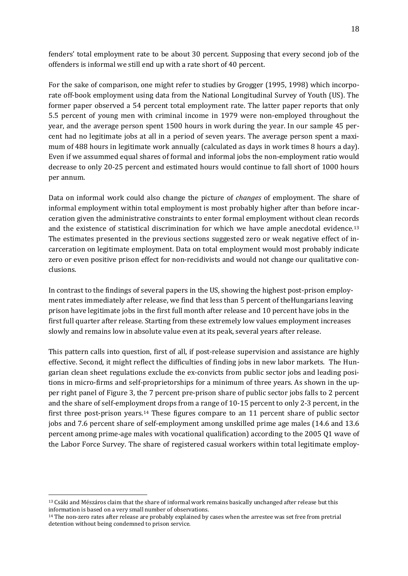fenders' total employment rate to be about 30 percent. Supposing that every second job of the offenders is informal we still end up with a rate short of 40 percent.

For the sake of comparison, one might refer to studies by Grogger (1995, 1998) which incorporate off-book employment using data from the National Longitudinal Survey of Youth (US). The former paper observed a 54 percent total employment rate. The latter paper reports that only 5.5 percent of young men with criminal income in 1979 were non-employed throughout the year, and the average person spent 1500 hours in work during the year. In our sample 45 percent had no legitimate jobs at all in a period of seven years. The average person spent a maximum of 488 hours in legitimate work annually (calculated as days in work times 8 hours a day). Even if we assummed equal shares of formal and informal jobs the non-employment ratio would decrease to only 20-25 percent and estimated hours would continue to fall short of 1000 hours per annum.

Data on informal work could also change the picture of *changes* of employment. The share of informal employment within total employment is most probably higher after than before incarceration given the administrative constraints to enter formal employment without clean records and the existence of statistical discrimination for which we have ample anecdotal evidence.[13](#page-18-1) The estimates presented in the previous sections suggested zero or weak negative effect of incarceration on legitimate employment. Data on total employment would most probably indicate zero or even positive prison effect for non-recidivists and would not change our qualitative conclusions.

In contrast to the findings of several papers in the US, showing the highest post-prison employment rates immediately after release, we find that less than 5 percent of theHungarians leaving prison have legitimate jobs in the first full month after release and 10 percent have jobs in the first full quarter after release. Starting from these extremely low values employment increases slowly and remains low in absolute value even at its peak, several years after release.

This pattern calls into question, first of all, if post-release supervision and assistance are highly effective. Second, it might reflect the difficulties of finding jobs in new labor markets. The Hungarian clean sheet regulations exclude the ex-convicts from public sector jobs and leading positions in micro-firms and self-proprietorships for a minimum of three years. As shown in the upper right panel of Figure 3, the 7 percent pre-prison share of public sector jobs falls to 2 percent and the share of self-employment drops from a range of 10-15 percent to only 2-3 percent, in the first three post-prison years.[14](#page-19-0) These figures compare to an 11 percent share of public sector jobs and 7.6 percent share of self-employment among unskilled prime age males (14.6 and 13.6 percent among prime-age males with vocational qualification) according to the 2005 Q1 wave of the Labor Force Survey. The share of registered casual workers within total legitimate employ-

<sup>13</sup> Csáki and Mészáros claim that the share of informal work remains basically unchanged after release but this information is based on a very small number of observations.

<span id="page-19-1"></span><span id="page-19-0"></span><sup>&</sup>lt;sup>14</sup> The non-zero rates after release are probably explained by cases when the arrestee was set free from pretrial detention without being condemned to prison service.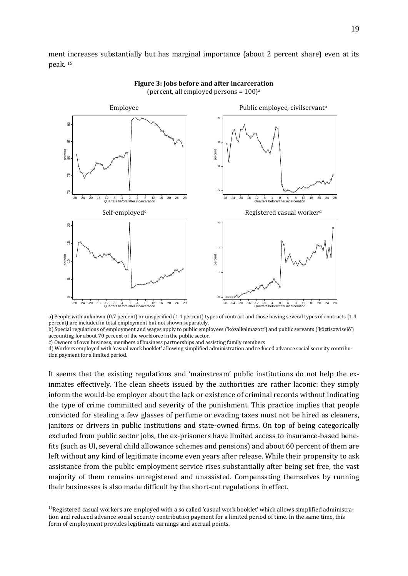ment increases substantially but has marginal importance (about 2 percent share) even at its peak. [15](#page-19-1)



#### **Figure 3: Jobs before and after incarceration** (percent, all employed persons =  $100$ )<sup>a</sup>

a) People with unknown (0.7 percent) or unspecified (1.1 percent) types of contract and those having several types of contracts (1.4 percent) are included in total employment but not shown separately.

b) Special regulations of employment and wages apply to public employees ('közalkalmazott') and public servants ('köztisztviselő') accounting for about 70 percent of the workforce in the public sector.

c) Owners of own business, members of business partnerships and assisting family members

d) Workers employed with 'casual work booklet' allowing simplified administration and reduced advance social security contribution payment for a limited period.

It seems that the existing regulations and 'mainstream' public institutions do not help the exinmates effectively. The clean sheets issued by the authorities are rather laconic: they simply inform the would-be employer about the lack or existence of criminal records without indicating the type of crime committed and severity of the punishment. This practice implies that people convicted for stealing a few glasses of perfume or evading taxes must not be hired as cleaners, janitors or drivers in public institutions and state-owned firms. On top of being categorically excluded from public sector jobs, the ex-prisoners have limited access to insurance-based benefits (such as UI, several child allowance schemes and pensions) and about 60 percent of them are left without any kind of legitimate income even years after release. While their propensity to ask assistance from the public employment service rises substantially after being set free, the vast majority of them remains unregistered and unassisted. Compensating themselves by running their businesses is also made difficult by the short-cut regulations in effect.

<span id="page-20-0"></span> $15$ Registered casual workers are employed with a so called 'casual work booklet' which allows simplified administration and reduced advance social security contribution payment for a limited period of time. In the same time, this form of employment provides legitimate earnings and accrual points.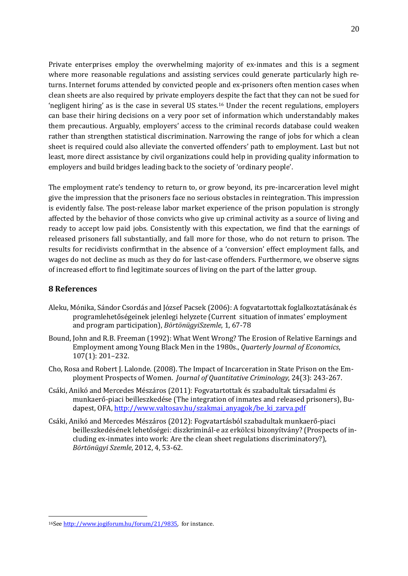Private enterprises employ the overwhelming majority of ex-inmates and this is a segment where more reasonable regulations and assisting services could generate particularly high returns. Internet forums attended by convicted people and ex-prisoners often mention cases when clean sheets are also required by private employers despite the fact that they can not be sued for 'negligent hiring' as is the case in several US states.[16](#page-20-0) Under the recent regulations, employers can base their hiring decisions on a very poor set of information which understandably makes them precautious. Arguably, employers' access to the criminal records database could weaken rather than strengthen statistical discrimination. Narrowing the range of jobs for which a clean sheet is required could also alleviate the converted offenders' path to employment. Last but not least, more direct assistance by civil organizations could help in providing quality information to employers and build bridges leading back to the society of 'ordinary people'.

The employment rate's tendency to return to, or grow beyond, its pre-incarceration level might give the impression that the prisoners face no serious obstacles in reintegration. This impression is evidently false. The post-release labor market experience of the prison population is strongly affected by the behavior of those convicts who give up criminal activity as a source of living and ready to accept low paid jobs. Consistently with this expectation, we find that the earnings of released prisoners fall substantially, and fall more for those, who do not return to prison. The results for recidivists confirmthat in the absence of a 'conversion' effect employment falls, and wages do not decline as much as they do for last-case offenders. Furthermore, we observe signs of increased effort to find legitimate sources of living on the part of the latter group.

#### **8 References**

- Aleku, Mónika, Sándor Csordás and József Pacsek (2006): A fogvatartottak foglalkoztatásának és programlehetőségeinek jelenlegi helyzete (Current situation of inmates' employment and program participation), *BörtönügyiSzemle*, 1, 67-78
- Bound, John and R.B. Freeman (1992): What Went Wrong? The Erosion of Relative Earnings and Employment among Young Black Men in the 1980s., *Quarterly Journal of Economics*, 107(1): 201–232.
- Cho, Rosa and Robert J. Lalonde. (2008). The Impact of Incarceration in State Prison on the Employment Prospects of Women. *Journal of Quantitative Criminology*, 24(3): 243-267.
- Csáki, Anikó and Mercedes Mészáros (2011): Fogvatartottak és szabadultak társadalmi és munkaerő-piaci beilleszkedése (The integration of inmates and released prisoners), Budapest, OFA, [http://www.valtosav.hu/szakmai\\_anyagok/be\\_ki\\_zarva.pdf](http://www.valtosav.hu/szakmai_anyagok/be_ki_zarva.pdf)
- Csáki, Anikó and Mercedes Mészáros (2012): Fogvatartásból szabadultak munkaerő-piaci beilleszkedésének lehetőségei: diszkriminál-e az erkölcsi bizonyítvány? (Prospects of including ex-inmates into work: Are the clean sheet regulations discriminatory?), *Börtönügyi Szemle*, 2012, 4, 53-62.

<span id="page-21-0"></span><sup>16</sup>See [http://www.jogiforum.hu/forum/21/9835,](http://www.jogiforum.hu/forum/21/9835) for instance.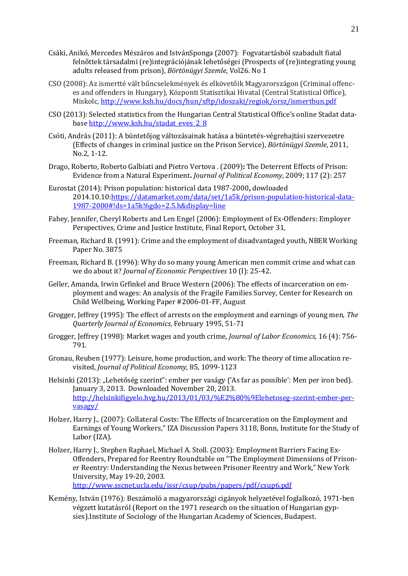- Csáki, Anikó, Mercedes Mészáros and IstvánSponga (2007): Fogvatartásból szabadult fiatal felnőttek társadalmi (re)integrációjának lehetőségei (Prospects of (re)integrating young adults released from prison), *Börtönügyi Szemle*, Vol26. No 1
- CSO (2008): Az ismertté vált bűncselekmények és elkövetőik Magyarországon (Criminal offences and offenders in Hungary), Központi Statisztikai Hivatal (Central Statistical Office), Miskolc,<http://www.ksh.hu/docs/hun/xftp/idoszaki/regiok/orsz/ismertbun.pdf>
- CSO (2013): Selected statistics from the Hungarian Central Statistical Office's online Stadat database [http://www.ksh.hu/stadat\\_eves\\_2\\_8](http://www.ksh.hu/stadat_eves_2_8)
- Csóti, András (2011): A büntetőjog változásainak hatása a büntetés-végrehajtási szervezetre (Effects of changes in criminal justice on the Prison Service), *Börtönügyi Szemle*, 2011, No.2, 1-12.
- Drago, Roberto, Roberto Galbiati and Pietro Vertova . (2009)**:** The Deterrent Effects of Prison: Evidence from a Natural Experiment**.** *Journal of Political Economy*, 2009; 117 (2): 257
- Eurostat (2014): Prison population: historical data 1987-2000**,** dowloaded 2014.10.10[:https://datamarket.com/data/set/1a5k/prison-population-historical-data-](https://datamarket.com/data/set/1a5k/prison-population-historical-data-1987-2000#!ds=1a5k!6gdo=2.5.h&display=line)[1987-2000#!ds=1a5k!6gdo=2.5.h&display=line](https://datamarket.com/data/set/1a5k/prison-population-historical-data-1987-2000#!ds=1a5k!6gdo=2.5.h&display=line)
- Fahey, Jennifer, Cheryl Roberts and Len Engel (2006): Employment of Ex-Offenders: Employer Perspectives, Crime and Justice Institute, Final Report, October 31,
- Freeman, Richard B. (1991): Crime and the employment of disadvantaged youth, NBER Working Paper No. 3875
- Freeman, Richard B. (1996): Why do so many young American men commit crime and what can we do about it? *Journal of Economic Perspectives* 10 (I): 25-42.
- Geller, Amanda, Irwin Grfinkel and Bruce Western (2006): The effects of incarceration on employment and wages: An analysis of the Fragile Families Survey, Center for Research on Child Wellbeing, Working Paper #2006-01-FF, August
- Grogger, Jeffrey (1995): The effect of arrests on the employment and earnings of young men, *The Quarterly Journal of Economics*, February 1995, 51-71
- Grogger, Jeffrey (1998): Market wages and youth crime, *Journal of Labor Economics*, 16 (4): 756- 791.
- Gronau, Reuben (1977): Leisure, home production, and work: The theory of time allocation revisited, *Journal of Political Economy*, 85, 1099-1123
- Helsinki (2013): "Lehetőség szerint": ember per vaságy ('As far as possible': Men per iron bed). January 3, 2013. Downloaded November 20, 2013. [http://helsinkifigyelo.hvg.hu/2013/01/03/%E2%80%9Elehetoseg-szerint-ember-per](http://helsinkifigyelo.hvg.hu/2013/01/03/%E2%80%9Elehetoseg-szerint-ember-per-vasagy/)[vasagy/](http://helsinkifigyelo.hvg.hu/2013/01/03/%E2%80%9Elehetoseg-szerint-ember-per-vasagy/)
- Holzer, Harry J., (2007): [Collateral Costs: The Effects of Incarceration on the Employment and](http://ideas.repec.org/p/iza/izadps/dp3118.html)  [Earnings of Young Workers,](http://ideas.repec.org/p/iza/izadps/dp3118.html)" [IZA Discussion Papers](http://ideas.repec.org/s/iza/izadps.html) 3118, Bonn, Institute for the Study of Labor (IZA).
- Holzer, Harry J., Stephen Raphael, Michael A. Stoll. (2003): Employment Barriers Facing Ex-Offenders, Prepared for Reentry Roundtable on "The Employment Dimensions of Prisoner Reentry: Understanding the Nexus between Prisoner Reentry and Work," New York University, May 19-20, 2003.
	- <http://www.sscnet.ucla.edu/issr/csup/pubs/papers/pdf/csup6.pdf>
- Kemény, István (1976): Beszámoló a magyarországi cigányok helyzetével foglalkozó, 1971-ben végzett kutatásról (Report on the 1971 research on the situation of Hungarian gypsies).Institute of Sociology of the Hungarian Academy of Sciences, Budapest.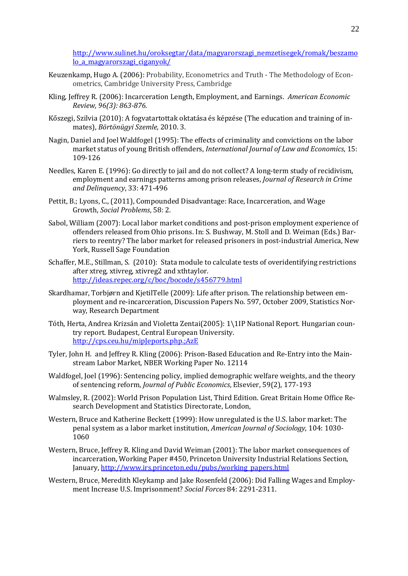[http://www.sulinet.hu/oroksegtar/data/magyarorszagi\\_nemzetisegek/romak/beszamo](http://www.sulinet.hu/oroksegtar/data/magyarorszagi_nemzetisegek/romak/beszamolo_a_magyarorszagi_ciganyok/) lo a magyarorszagi ciganyok/

- Keuzenkamp, Hugo A. (2006): Probability, Econometrics and Truth The Methodology of Econometrics, Cambridge University Press, Cambridge
- Kling*,* Jeffrey R. (2006): Incarceration Length, Employment, and Earnings. *American Economic Review, 96(3): 863-876.*
- Kőszegi, Szilvia (2010): A fogvatartottak oktatása és képzése (The education and training of inmates), *Börtönügyi Szemle*, 2010. 3.
- Nagin, Daniel and Joel Waldfogel (1995): The effects of criminality and convictions on the labor market status of young British offenders, *International Journal of Law and Economics*, 15: 109-126
- Needles, Karen E. (1996): Go directly to jail and do not collect? A long-term study of recidivism, employment and earnings patterns among prison releases, *Journal of Research in Crime and Delinquency*, 33: 471-496
- Pettit, B.; Lyons, C., (2011), Compounded Disadvantage: Race, Incarceration, and Wage Growth, *Social Problems*, 58: 2.
- Sabol, William (2007): Local labor market conditions and post-prison employment experience of offenders released from Ohio prisons. In: S. Bushway, M. Stoll and D. Weiman (Eds.) Barriers to reentry? The labor market for released prisoners in post-industrial America, New York, Russell Sage Foundation
- Schaffer, M.E., Stillman, S. (2010): Stata module to calculate tests of overidentifying restrictions after xtreg, xtivreg, xtivreg2 and xthtaylor. <http://ideas.repec.org/c/boc/bocode/s456779.html>
- Skardhamar, Torbjørn and KjetilTelle (2009): Life after prison. The relationship between employment and re-incarceration, Discussion Papers No. 597, October 2009, Statistics Norway, Research Department
- Tóth, Herta, Andrea Krizsán and Violetta Zentai(2005): 1\1IP National Report. Hungarian country report. Budapest, Central European University. <http://cps.ceu.hu/mipJeports.php.;AzE>
- Tyler[, John H. a](http://www.nber.org/people/john_tyler)nd [Jeffrey R. Kling](http://www.nber.org/people/jeffrey_kling) (2006): Prison-Based Education and Re-Entry into the Mainstream Labor Market, NBER Working Paper No. 12114
- Waldfogel, Joel (1996): [Sentencing policy, implied demographic welfare weights, and the theory](http://ideas.repec.org/a/eee/pubeco/v59y1996i2p177-193.html)  [of sentencing reform,](http://ideas.repec.org/a/eee/pubeco/v59y1996i2p177-193.html) *[Journal of Public Economics](http://ideas.repec.org/s/eee/pubeco.html)*, Elsevier, 59(2), 177-193
- Walmsley, R. (2002): World Prison Population List, Third Edition. Great Britain Home Office Research Development and Statistics Directorate, London,
- Western, Bruce and Katherine Beckett (1999): How unregulated is the U.S. labor market: The penal system as a labor market institution, *American Journal of Sociology*, 104: 1030- 1060
- Western, Bruce, Jeffrey R. Kling and David Weiman (2001): The labor market consequences of incarceration, Working Paper #450, Princeton University Industrial Relations Section, January, [http://www.irs.princeton.edu/pubs/working\\_papers.html](http://www.irs.princeton.edu/pubs/working_papers.html)
- Western, Bruce, Meredith Kleykamp and Jake Rosenfeld (2006): Did Falling Wages and Employment Increase U.S. Imprisonment? *Social Forces* 84: 2291-2311.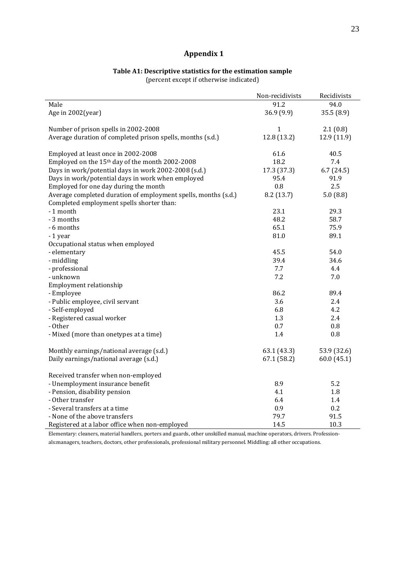# **Appendix 1**

#### **Table A1: Descriptive statistics for the estimation sample** (percent except if otherwise indicated)

|                                                                | Non-recidivists | Recidivists |
|----------------------------------------------------------------|-----------------|-------------|
| Male                                                           | 91.2            | 94.0        |
| Age in 2002(year)                                              | 36.9 (9.9)      | 35.5(8.9)   |
|                                                                |                 |             |
| Number of prison spells in 2002-2008                           | $\mathbf{1}$    | 2.1(0.8)    |
| Average duration of completed prison spells, months (s.d.)     | 12.8 (13.2)     | 12.9 (11.9) |
|                                                                |                 |             |
| Employed at least once in 2002-2008                            | 61.6            | 40.5        |
| Employed on the 15 <sup>th</sup> day of the month 2002-2008    | 18.2            | 7.4         |
| Days in work/potential days in work 2002-2008 (s.d.)           | 17.3 (37.3)     | 6.7(24.5)   |
| Days in work/potential days in work when employed              | 95.4            | 91.9        |
| Employed for one day during the month                          | 0.8             | 2.5         |
| Average completed duration of employment spells, months (s.d.) | 8.2(13.7)       | 5.0(8.8)    |
| Completed employment spells shorter than:                      |                 |             |
| - 1 month                                                      | 23.1            | 29.3        |
| - 3 months                                                     | 48.2            | 58.7        |
| - 6 months                                                     | 65.1            | 75.9        |
| -1 year                                                        | 81.0            | 89.1        |
| Occupational status when employed                              |                 |             |
| - elementary                                                   | 45.5            | 54.0        |
| - middling                                                     | 39.4            | 34.6        |
| - professional                                                 | 7.7             | 4.4         |
| - unknown                                                      | 7.2             | 7.0         |
| Employment relationship                                        |                 |             |
| - Employee                                                     | 86.2            | 89.4        |
| - Public employee, civil servant                               | 3.6             | 2.4         |
| - Self-employed                                                | 6.8             | 4.2         |
| - Registered casual worker                                     | 1.3             | 2.4         |
| - Other                                                        | 0.7             | 0.8         |
| - Mixed (more than onetypes at a time)                         | 1.4             | 0.8         |
|                                                                |                 |             |
| Monthly earnings/national average (s.d.)                       | 63.1(43.3)      | 53.9 (32.6) |
| Daily earnings/national average (s.d.)                         | 67.1(58.2)      | 60.0(45.1)  |
|                                                                |                 |             |
| Received transfer when non-employed                            |                 |             |
| - Unemployment insurance benefit                               | 8.9             | 5.2         |
| - Pension, disability pension                                  | 4.1             | 1.8         |
| - Other transfer                                               | 6.4             | 1.4         |
| - Several transfers at a time                                  | 0.9             | 0.2         |
| - None of the above transfers                                  | 79.7            | 91.5        |
| Registered at a labor office when non-employed                 | 14.5            | 10.3        |

Elementary: cleaners, material handlers, porters and guards, other unskilled manual, machine operators, drivers. Professionals:managers, teachers, doctors, other professionals, professional military personnel. Middling: all other occupations.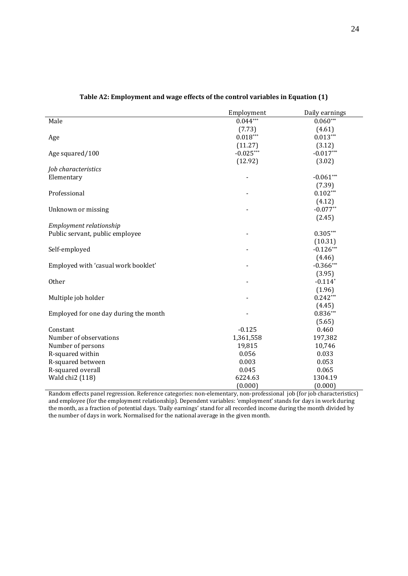|                                       | Employment     | Daily earnings |
|---------------------------------------|----------------|----------------|
| Male                                  | $0.044***$     | $0.060***$     |
|                                       | (7.73)         | (4.61)         |
| Age                                   | $0.018***$     | $0.013***$     |
|                                       | (11.27)        | (3.12)         |
| Age squared/100                       | $-0.025***$    | $-0.017***$    |
|                                       | (12.92)        | (3.02)         |
| Job characteristics                   |                |                |
| Elementary                            | $\blacksquare$ | $-0.061***$    |
|                                       |                | (7.39)         |
| Professional                          |                | $0.102***$     |
|                                       |                | (4.12)         |
| Unknown or missing                    |                | $-0.077**$     |
|                                       |                | (2.45)         |
| Employment relationship               |                |                |
| Public servant, public employee       |                | $0.305***$     |
|                                       |                | (10.31)        |
| Self-employed                         |                | $-0.126***$    |
|                                       |                | (4.46)         |
| Employed with 'casual work booklet'   |                | $-0.366***$    |
|                                       |                | (3.95)         |
| Other                                 |                | $-0.114*$      |
|                                       |                | (1.96)         |
| Multiple job holder                   |                | $0.242***$     |
|                                       |                | (4.45)         |
| Employed for one day during the month |                | $0.836***$     |
|                                       |                | (5.65)         |
| Constant                              | $-0.125$       | 0.460          |
| Number of observations                | 1,361,558      | 197,382        |
| Number of persons                     | 19,815         | 10,746         |
| R-squared within                      | 0.056          | 0.033          |
| R-squared between                     | 0.003          | 0.053          |
| R-squared overall                     | 0.045          | 0.065          |
| Wald chi2 (118)                       | 6224.63        | 1304.19        |
|                                       | (0.000)        | (0.000)        |

#### **Table A2: Employment and wage effects of the control variables in Equation (1)**

Random effects panel regression. Reference categories: non-elementary, non-professional job (for job characteristics) and employee (for the employment relationship). Dependent variables: 'employment' stands for days in work during the month, as a fraction of potential days. 'Daily earnings' stand for all recorded income during the month divided by the number of days in work. Normalised for the national average in the given month.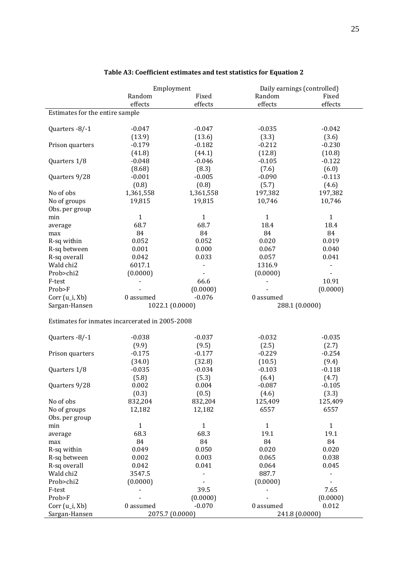|                                 |                                                 | Employment   | Daily earnings (controlled) |                |
|---------------------------------|-------------------------------------------------|--------------|-----------------------------|----------------|
|                                 | Random                                          | Fixed        | Random                      | Fixed          |
|                                 | effects                                         | effects      | effects                     | effects        |
| Estimates for the entire sample |                                                 |              |                             |                |
|                                 | $-0.047$                                        | $-0.047$     | $-0.035$                    | $-0.042$       |
| Quarters -8/-1                  |                                                 |              |                             |                |
|                                 | (13.9)                                          | (13.6)       | (3.3)                       | (3.6)          |
| Prison quarters                 | $-0.179$                                        | $-0.182$     | $-0.212$                    | $-0.230$       |
|                                 | (41.8)                                          | (44.1)       | (12.8)                      | (10.8)         |
| Quarters 1/8                    | $-0.048$                                        | $-0.046$     | $-0.105$                    | $-0.122$       |
|                                 | (8.68)                                          | (8.3)        | (7.6)                       | (6.0)          |
| Quarters 9/28                   | $-0.001$                                        | $-0.005$     | $-0.090$                    | $-0.113$       |
|                                 | (0.8)                                           | (0.8)        | (5.7)                       | (4.6)          |
| No of obs                       | 1,361,558                                       | 1,361,558    | 197,382                     | 197,382        |
| No of groups                    | 19,815                                          | 19,815       | 10,746                      | 10,746         |
| Obs. per group                  |                                                 |              |                             |                |
| min                             | $\mathbf{1}$                                    | $\mathbf{1}$ | $\mathbf{1}$                | $\mathbf{1}$   |
| average                         | 68.7                                            | 68.7         | 18.4                        | 18.4           |
| max                             | 84                                              | 84           | 84                          | 84             |
| R-sq within                     | 0.052                                           | 0.052        | 0.020                       | 0.019          |
| R-sq between                    | 0.001                                           | 0.000        | 0.067                       | 0.040          |
| R-sq overall                    | 0.042                                           | 0.033        | 0.057                       | 0.041          |
| Wald chi2                       | 6017.1                                          |              | 1316.9                      | $\blacksquare$ |
| Prob>chi2                       | (0.0000)                                        |              | (0.0000)                    |                |
| F-test                          |                                                 | 66.6         |                             | 10.91          |
| Prob>F                          |                                                 | (0.0000)     |                             | (0.0000)       |
| Corr (u_i, Xb)                  | 0 assumed                                       | $-0.076$     | 0 assumed                   |                |
| Sargan-Hansen                   | 1022.1 (0.0000)                                 |              | 288.1 (0.0000)              |                |
|                                 | Estimates for inmates incarcerated in 2005-2008 |              |                             |                |
|                                 |                                                 |              |                             |                |
| Quarters -8/-1                  | $-0.038$                                        | $-0.037$     | $-0.032$                    | $-0.035$       |
|                                 | (9.9)                                           | (9.5)        | (2.5)                       | (2.7)          |
| Prison quarters                 | $-0.175$                                        | $-0.177$     | $-0.229$                    | $-0.254$       |
|                                 | (34.0)                                          | (32.8)       | (10.5)                      | (9.4)          |
| Quarters 1/8                    | $-0.035$                                        | $-0.034$     | $-0.103$                    | $-0.118$       |
|                                 | (5.8)                                           | (5.3)        | (6.4)                       | (4.7)          |
| Quarters 9/28                   | 0.002                                           | 0.004        | $-0.087$                    | $-0.105$       |
|                                 | (0.3)                                           | (0.5)        | (4.6)                       | (3.3)          |
| No of obs                       | 832,204                                         | 832,204      | 125,409                     | 125,409        |
| No of groups                    | 12,182                                          | 12,182       | 6557                        | 6557           |
| Obs. per group                  |                                                 |              |                             |                |
| min                             | $\mathbf{1}$                                    | $\mathbf{1}$ | $\mathbf{1}$                | $\mathbf{1}$   |
| average                         | 68.3                                            | 68.3         | 19.1                        | 19.1           |
| max                             | 84                                              | 84           | 84                          | 84             |
| R-sq within                     | 0.049                                           | 0.050        | 0.020                       | 0.020          |
| R-sq between                    | 0.002                                           | 0.003        | 0.065                       | 0.038          |
| R-sq overall                    | 0.042                                           | 0.041        | 0.064                       | 0.045          |
| Wald chi2                       | 3547.5                                          |              | 887.7                       |                |
| Prob>chi2                       | (0.0000)                                        |              | (0.0000)                    |                |
| F-test                          |                                                 | 39.5         |                             | 7.65           |
| Prob>F                          |                                                 | (0.0000)     |                             | (0.0000)       |
| Corr (u_i, Xb)                  | 0 assumed                                       | $-0.070$     | 0 assumed                   | 0.012          |
| Sargan-Hansen                   | 2075.7 (0.0000)                                 |              | 241.8 (0.0000)              |                |
|                                 |                                                 |              |                             |                |

# **Table A3: Coefficient estimates and test statistics for Equation 2**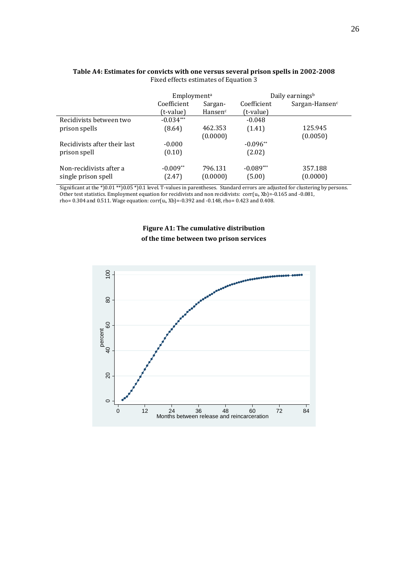|                                                | Employment <sup>a</sup> |                     | Daily earnings <sup>b</sup> |                     |
|------------------------------------------------|-------------------------|---------------------|-----------------------------|---------------------|
|                                                | Coefficient<br>Sargan-  |                     | Coefficient                 | Sargan-Hansen $c$   |
|                                                | (t-value)               | Hansen <sup>c</sup> | (t-value)                   |                     |
| Recidivists between two                        | $-0.034***$             |                     | $-0.048$                    |                     |
| prison spells                                  | (8.64)                  | 462.353             | (1.41)                      | 125.945             |
|                                                |                         | (0.0000)            |                             | (0.0050)            |
| Recidivists after their last                   | $-0.000$                |                     | $-0.096**$                  |                     |
| prison spell                                   | (0.10)                  |                     | (2.02)                      |                     |
| Non-recidivists after a<br>single prison spell | $-0.009**$<br>(2.47)    | 796.131<br>(0.0000) | $-0.089***$<br>(5.00)       | 357.188<br>(0.0000) |

#### **Table A4: Estimates for convicts with one versus several prison spells in 2002-2008** Fixed effects estimates of Equation 3

Significant at the \*)0.01 \*\*)0.05 \*)0.1 level. T-values in parentheses. Standard errors are adjusted for clustering by persons. Other test statistics. Employment equation for recidivists and non recidivists: corr(ui, Xb)=-0.165 and -0.081, rho= 0.304 and 0.511. Wage equation: corr(ui, Xb)=-0.392 and -0.148, rho= 0.423 and 0.408.

# **Figure A1: The cumulative distribution of the time between two prison services**

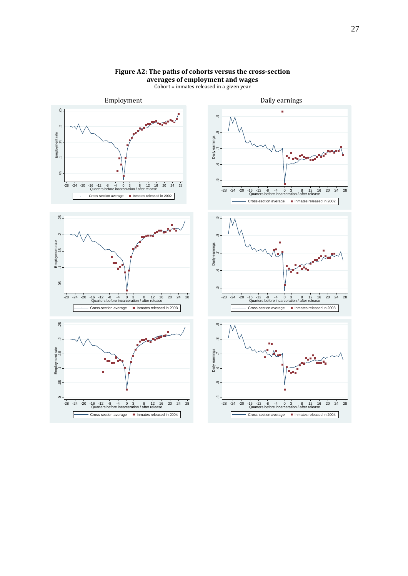

### **Figure A2: The paths of cohorts versus the cross-section averages of employment and wages**

Cohort = inmates released in a given year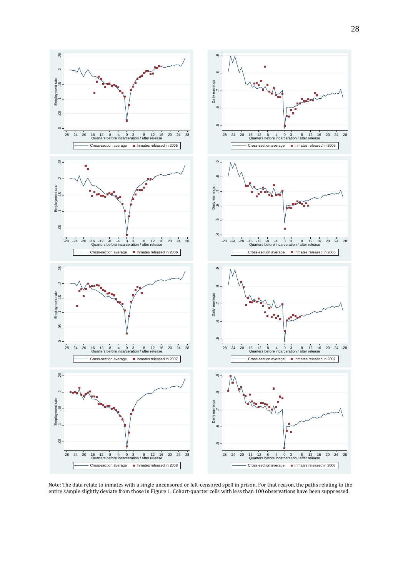



Note: The data relate to inmates with a single uncensored or left-censored spell in prison. For that reason, the paths relating to the entire sample slightly deviate from those in Figure 1. Cohort-quarter cells with less than 100 observations have been suppressed.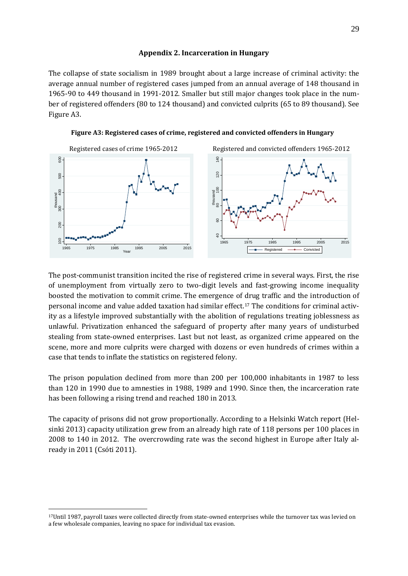#### **Appendix 2. Incarceration in Hungary**

The collapse of state socialism in 1989 brought about a large increase of criminal activity: the average annual number of registered cases jumped from an annual average of 148 thousand in 1965-90 to 449 thousand in 1991-2012. Smaller but still major changes took place in the number of registered offenders (80 to 124 thousand) and convicted culprits (65 to 89 thousand). See Figure A3.



**Figure A3: Registered cases of crime, registered and convicted offenders in Hungary** 

The post-communist transition incited the rise of registered crime in several ways. First, the rise of unemployment from virtually zero to two-digit levels and fast-growing income inequality boosted the motivation to commit crime. The emergence of [dr](#page-21-0)ug traffic and the introduction of personal income and value added taxation had similar effect.17 The conditions for criminal activity as a lifestyle improved substantially with the abolition of regulations treating joblessness as unlawful. Privatization enhanced the safeguard of property after many years of undisturbed stealing from state-owned enterprises. Last but not least, as organized crime appeared on the scene, more and more culprits were charged with dozens or even hundreds of crimes within a case that tends to inflate the statistics on registered felony.

The prison population declined from more than 200 per 100,000 inhabitants in 1987 to less than 120 in 1990 due to amnesties in 1988, 1989 and 1990. Since then, the incarceration rate has been following a rising trend and reached 180 in 2013.

The capacity of prisons did not grow proportionally. According to a Helsinki Watch report (Helsinki 2013) capacity utilization grew from an already high rate of 118 persons per 100 places in 2008 to 140 in 2012. The overcrowding rate was the second highest in Europe after Italy already in 2011 (Csóti 2011).

<span id="page-30-0"></span><sup>&</sup>lt;sup>17</sup>Until 1987, payroll taxes were collected directly from state-owned enterprises while the turnover tax was levied on a few wholesale companies, leaving no space for individual tax evasion.